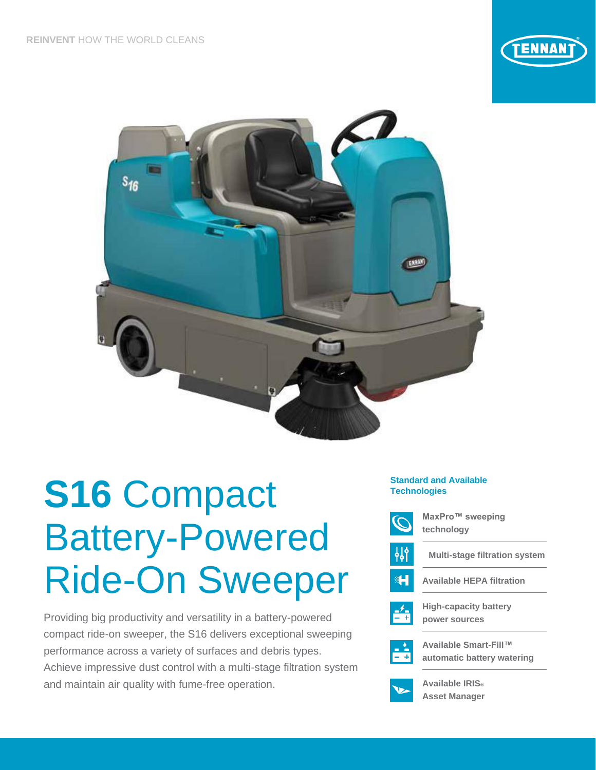



# **S16** Compact Battery-Powered Ride-On Sweeper

Providing big productivity and versatility in a battery-powered compact ride-on sweeper, the S16 delivers exceptional sweeping performance across a variety of surfaces and debris types. Achieve impressive dust control with a multi-stage filtration system and maintain air quality with fume-free operation.

## **Standard and Available Technologies**



**MaxPro™ sweeping technology**



41

**Multi-stage filtration system**





**High-capacity battery power sources**



**Available Smart-Fill™ automatic battery watering**



**Available IRIS® Asset Manager**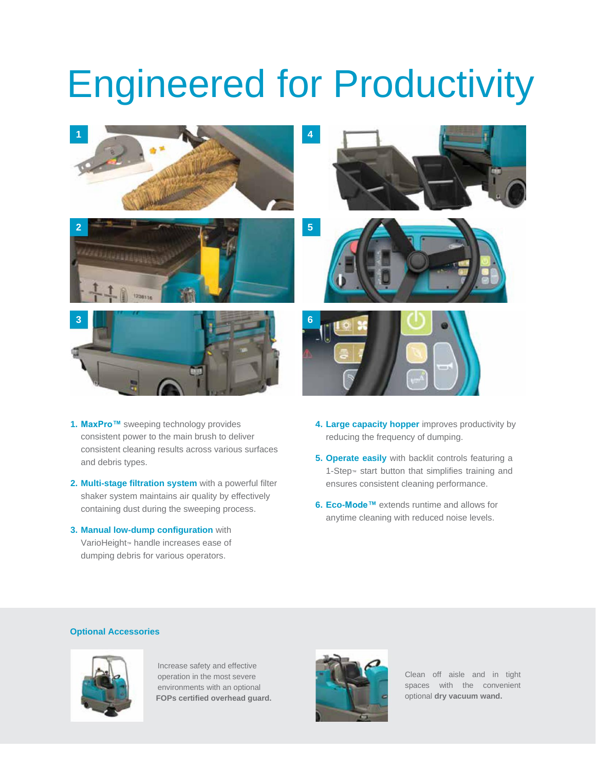## Engineered for Productivity



- **1. MaxPro™** sweeping technology provides consistent power to the main brush to deliver consistent cleaning results across various surfaces and debris types.
- **2. Multi-stage filtration system** with a powerful filter shaker system maintains air quality by effectively containing dust during the sweeping process.
- **3. Manual low-dump configuration** with VarioHeight<sup>™</sup> handle increases ease of dumping debris for various operators.
- **4. Large capacity hopper** improves productivity by reducing the frequency of dumping.
- **5. Operate easily** with backlit controls featuring a 1-Step<sup>™</sup> start button that simplifies training and ensures consistent cleaning performance.
- **6. Eco-Mode™** extends runtime and allows for anytime cleaning with reduced noise levels.

## **Optional Accessories**



Increase safety and effective operation in the most severe environments with an optional **FOPs certified overhead guard.**



Clean off aisle and in tight spaces with the convenient optional **dry vacuum wand.**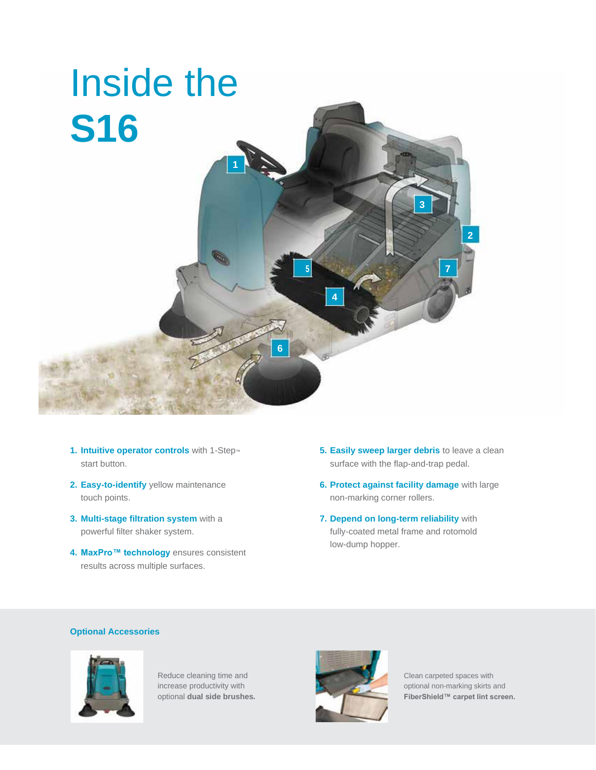

- **1. Intuitive operator controls** with 1-Step™ start button.
- **2. Easy-to-identify** yellow maintenance touch points.
- **3. Multi-stage filtration system** with a powerful filter shaker system.
- **4. MaxPro™ technology** ensures consistent results across multiple surfaces.
- **5. Easily sweep larger debris** to leave a clean surface with the flap-and-trap pedal.
- **6. Protect against facility damage** with large non-marking corner rollers.
- **7. Depend on long-term reliability** with fully-coated metal frame and rotomold low-dump hopper.

## **Optional Accessories**





increase productivity with **Contract of the contract of the contract of the contract optional non-marking skirts and** optional **dual side brushes. FiberShield™ carpet lint screen.**